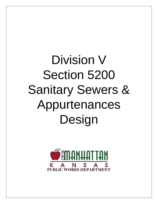# Division V Section 5200 Sanitary Sewers & Appurtenances Design

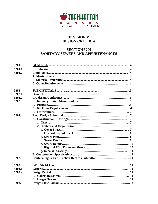

# **DIVISION V DESIGN CRITERIA**

# **SECTION 5200 SANITARY SEWERS AND APPURTENANCES**

| 5201   |  |
|--------|--|
| 5201.1 |  |
| 5201.2 |  |
|        |  |
|        |  |
|        |  |
| 5202   |  |
| 5202.1 |  |
| 5202.2 |  |
| 5202.3 |  |
|        |  |
|        |  |
|        |  |
|        |  |
| 5202.4 |  |
|        |  |
|        |  |
|        |  |
|        |  |
|        |  |
|        |  |
|        |  |
|        |  |
|        |  |
|        |  |
|        |  |
| 5202.5 |  |
| 5203   |  |
| 5203.1 |  |
| 5203.2 |  |
|        |  |
|        |  |
| 5203.3 |  |
|        |  |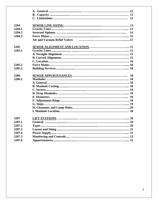|        | 12                                                                         |
|--------|----------------------------------------------------------------------------|
| 5204   |                                                                            |
| 5204.1 |                                                                            |
| 5204.2 | 14                                                                         |
| 5204.3 |                                                                            |
|        | Air and Vacuum Relief Valves (a) measure material and Vacuum Relief Valves |
| 5205   |                                                                            |
| 5205.1 |                                                                            |
|        |                                                                            |
|        |                                                                            |
|        |                                                                            |
| 5205.2 |                                                                            |
| 5205.3 |                                                                            |
| 5206   |                                                                            |
| 5206.1 |                                                                            |
|        |                                                                            |
|        |                                                                            |
|        |                                                                            |
|        |                                                                            |
|        |                                                                            |
|        |                                                                            |
|        |                                                                            |
|        |                                                                            |
|        |                                                                            |
| 5207   |                                                                            |
| 5207.1 |                                                                            |
| 5207.2 |                                                                            |
| 5207.3 |                                                                            |
| 5207.4 |                                                                            |
| 5207.5 |                                                                            |
| 5207.6 |                                                                            |
|        |                                                                            |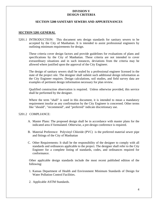### **DIVISION V DESIGN CRITERIA**

#### **SECTION 5200 SANITARY SEWERS AND APPURTENANCES**

#### **SECTION 5201 GENERAL**

5201.1 INTRODUCTION: This document sets design standards for sanitary sewers to be accepted by the City of Manhattan. It is intended to assist professional engineers by outlining minimum requirements for design.

These criteria cover design factors and provide guidelines for evaluations of plans and specifications by the City of Manhattan. These criteria are not intended to cover extraordinary situations and in such instances, deviations from the criteria may be allowed where justified upon the approval of the City Engineer.

The design of sanitary sewers shall be sealed by a professional engineer licensed in the state of the project site. The designer shall submit such additional design information as the City Engineer requires. Design calculations, soil studies, and field survey data are examples of pertinent design information necessary for plan review.

Qualified construction observation is required. Unless otherwise provided, this service shall be performed by the designer.

Where the term "shall" is used in this document, it is intended to mean a mandatory requirement insofar as any confirmation by the City Engineer is concerned. Other terms like "should", "recommend", and "preferred" indicate discretionary use.

#### 5201.2 COMPLIANCE:

- A. Master Plans: The proposed design shall be in accordance with master plans for the indicated area if formulated. Otherwise, a pre-design conference is required.
- B. Material Preference: Polyvinyl Chloride (PVC) is the preferred material sewer pipe and fittings of the City of Manhattan
- C. Other Requirements: It shall be the responsibility of the designer to comply with all standards and ordinances applicable to the project. The designer shall refer to the City Engineer for a complete listing of standards, codes, and ordinances required for conformance.

Other applicable design standards include the most recent published edition of the following:

- 1. Kansas Department of Health and Environment Minimum Standards of Design for Water Pollution Control Facilities.
- 2. Applicable ASTM Standards.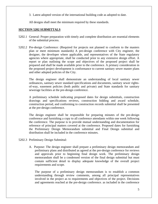3. Latest adopted version of the international building code as adopted to date.

All designs shall meet the minimum required by these standards.

## **SECTION 5202 SUBMITTALS**

- 5202.1 General: Proper preparation with timely and complete distribution are essential elements of the submittal process.
- 5202.2 Pre-design Conference: (Required for projects not planned to conform to the masters plan or meet minimum standards) A pre-design conference with City engineer, the designer, the developer where applicable, and representatives of the State regulatory agencies where appropriate, shall be conducted prior to any extensive design effort. A report or plan outlining the scope and objectives of the proposed project shall be prepared and shall be made available prior to the conference. A primary consideration in the proposed project development is conformance to current sanitary sewer master plans and other adopted policies of the City.

The design engineer shall demonstrate an understanding of local sanitary sewer ordinances, sanitary sewer standard specifications and documents, sanitary sewer rightsof-way, easement policies (both public and private) and State standards for sanitary sewerage facilities at the pre-design conference.

A preliminary schedule indicating proposed dates for design submittals, construction drawings and specifications reviews, construction bidding and award schedule, construction period, and conforming to construction records submittal shall be presented at the pre-design conference.

The design engineer shall be responsible for preparing minutes of the pre-design conference and furnishing a copy to all conference attendants within one week following the conference. The purpose is to provide mutual understanding and documentation for reference of principal matters covered at the conference. Proposed dates for furnishing the Preliminary Design Memorandum submittal and Final Design submittal and distribution shall be included in the conference minutes.

- 5202.3 Preliminary Design Submittal:
	- A. Purpose: The design engineer shall prepare a preliminary design memorandum and preliminary plans and distributed as agreed at the pre-design conference for reviews and approvals prior to beginning final design work. The preliminary design memorandum shall be a condensed version of the final design submittal but must contain sufficient detail to display adequate knowledge of the overall project requirements and scope.

The purpose of a preliminary design memorandum is to establish a common understanding through review comments, among all principal representatives involved in the project as to requirements and objectives of the project. Decisions and agreements reached at the pre-design conference. as included in the conference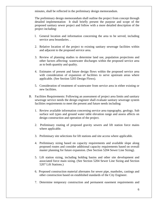minutes, shall be reflected in the preliminary design memorandum.

The preliminary design memorandum shall outline the project from concept through detailed implementation It shall briefly present the purpose and scope of the proposed sanitary sewer project and follow with a more detailed description of the project including:

- l. General location and information concerning the area to be served, including service area boundaries. .
- 2. Relative location of the project to existing sanitary sewerage facilities within and adjacent to the proposed service area.
- 3. Review of planning studies to determine land use, population projections and other factors affecting: wastewater discharges within the proposed service area as to both quantity and quality.
- 4. Estimates of present and future design flows within the proposed service area with consideration of expansion of facilities to serve upstream areas where applicable. (See Section 5203 Design Flows).
- 5. Consideration of treatment of wastewater from service area in either existing or new facilities.
- B. Facilities Requirements: Following an assessment of project area limits and sanitary sewerage service needs the design engineer shall evaluate sanitary sewerage system facilities requirements to meet the present and future needs including:
	- 1. Review available information concerning service area topography, geology. Sub surface soil types and ground water table elevation range and assess affects on design construction and operation of the project.
	- 2. Preliminary routing of proposed gravity sewers and lift station force mains where applicable.
	- 3. Preliminary site selections for lift stations and site access where applicable.
	- 4. Preliminary sizing based on capacity requirements and available slope along proposed routes and consider additional capacity requirements based on overall master planning for future expansion. (See Section 5204 Sewer Line Sizing).
	- 5. Lift station sizing, including holding basins and other site development and associated force main sizing. (See Section 5204 Sewer Line Sizing and Section 5207 Lift Stations.)
	- 6. Proposed construction material alternates for sewer pipe, manholes, castings and other construction based on established standards of the City Engineer.
	- 7. Determine temporary construction and permanent easement requirements and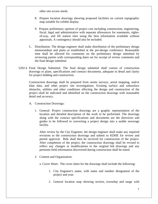other site access needs.

- 8. Prepare location drawings showing proposed facilities on current topographic map suitable for exhibit display.
- 9. Prepare preliminary opinion of project cost including construction, engineering, fiscal, legal and administrative with separate allowances for easements, rightsof-way, and lift station sites using the best information available without appraisals. A contingency should also be included.
- C. Distribution: The design engineer shall make distribution of the preliminary design memorandum and plans as established at the pre-design conference. Reasonable time shall be allowed for comments on the preliminary design submittal by reviewing parties with corresponding dates set for receipt of review comments and the final design submittal.
- 5202.4 Final Design Submittal: The final design submittal shall consist of construction drawings or plans, specifications and contract documents, adequate in detail and clarity for project bidding and construction.

Construction drawings shall be prepared from onsite surveys, aerial mapping, and/or lidar data, and other project site investigations. Existing surface and subsurface obstacles, utilities and other conditions affecting the design and construction of the project shall be indicated and identified on the construction drawings with reasonable detail and accuracy.

- A. Construction Drawings:
	- 1. General: Project construction drawings are a graphic representation of the location and detailed description of the work to be performed. The drawings along with the contract specifications and documents are the directives and guides to be followed in converting a project design into a usable sewerage facility.

After review by the City Engineer, the design engineer shall make any required revisions to the construction drawings and submit to KDHE for review and permit approval. Bids shall then be received for construction of the project. After completion of the project, the construction drawings shall be revised to reflect any changes or modifications to the original bid drawings and any pertinent field information discovered during construction shall be noted.

2. Content and Organization:

a. Cover Sheet: The cover sheet for the drawings shall include the following:

- 1. City Engineer's name, with name and number designation of the project and year.
- 2. General location map showing section, township and range with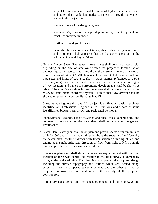project location indicated and locations of highways, streets, rivers. and other identifiable landmarks sufficient to provide convenient access to the project site.

- 3. Name and seal of the design engineer.
- 4. Name and signature of the approving authority, date of approval and construction permit number.
- 5. North arrow and graphic scale.
- 6. Legends, abbreviations, sheet index, sheet titles, and general notes and comments shall appear either on the cover sheet or on the following General Layout Sheet.
- b. General Layout Sheet: The general layout sheet shall contain a map or plat depending on the size of area over which the project is located, at an engineering scale necessary to show the entire system on one plan sheet of minimum size of 24" x 36". All elements of the project shall be identified and pipe sizes and limits of each size shown. Street names, references to USGS township, range, section lines and quarter section lines, easement and rightof-way location, and names of surrounding developments shall be shown. A table of the coordinate values for each manhole shall be shown based on the WGS 84 state plane coordinate system. Directional flow arrows shall be showed on pipes with design discharge in CFS.

Sheet numbering, usually one (1), project identification, design engineer identification. Professional Engineer's seal, revisions and record of issue identification blocks, north arrow, and scale shall be shown.

Abbreviations, legends, list of drawings and sheet titles, general notes and comments, if not shown on the cover sheet, shall be included on the general layout sheet.

c. Sewer Plan: Sewer plan shall be on plan and profile sheets of minimum size of 24" x 36" and shall be drawn directly above the sewer profile. Normally the sewer plan should be drawn with lower stationing starting at left and ending at the right side, with direction of flow from right to left. A single plan and profile shall be shown on each sheet.

The sewer plan view shall show the sewer survey alignment with the final location of the sewer center line relative to the field survey alignment by using angles and stationing. The plan view shall present the proposed design including the surface topography and utilities which are located along, across, or near the proposed sewer alignment, and any other existing. or proposed improvements or conditions in the vicinity of the proposed construction.

Temporary construction and permanent easements and rights-or-ways and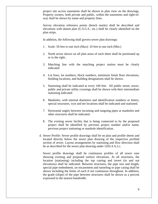project site access easements shall be shown in plan view on the drawings, Property owners, both private and public, within the easements and right-ofway shall be shown by name and property lines.

Survey elevation reference points (bench marks) shall be described and elevations with datum plan (U.S.G.S., etc.) shall be clearly identified on the plan strips.

In addition, the following shall govern sewer plan drawings:

- 1. Scale: 50 feet to one inch (Max): 10 feet to one inch (Min.)
- 2. North arrow shown on all plan areas of each sheet shall be positioned up or to the right..
- 3. Matching line with the matching project station must be clearly indicated.
- 4. Lot lines, lot numbers, block numbers, minimum finish floor elevations, building locations, and building designations shall be shown.
- 5. Stationing shall be indicated at every 100 feet. All public storm, sewer, public and private utility crossings shall be shown with their intermediate stationing indicated
- 6. Manholes, with internal diameters and identification numbers or letters, special structures, wye and tee locations shall be indicated and stationed.
- 7. Horizontal angles between incoming and outgoing pipes at manholes and other structures shall be indicated.
- 8. The existing sewer facility that is being connected to by the proposed project shall be identified by previous project number and/or name, previous project stationing or manhole identification.
- d. Sewer Profile: Sewer profile drawings shall be on plan and profile sheets and located directly below the sewer plan drawing of the respective profiled section of sewer. Layout arrangements by stationing and flow direction shall be as described for the sewer plan drawing under 5202.4.A.2.c.

Sewer profile drawings shall be continuous profiles of all sewer runs showing existing and proposed surface elevations. At all structures, the location (stationing) including the top casting and invert (in and out elevations) shall be indicated. Between structures, the pipe size and length, special pipe embedment, on encasement and tunneling or pipe casing shall be shown including the limits of each if not continuous throughout. In addition, the grade (slope) of the pipe between structures shall be shown as a percent expressed to the nearest hundredth.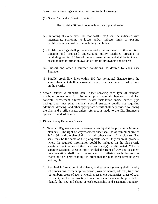Sewer profile drawings shall also conform to the following:

(1) Scale: Vertical - 10 feet to one inch.

Horizontal - 50 feet to one inch to match plan drawing.

- (2) Stationing at every even 100-foot (4+00. etc,) shall be indicated with intermediate stationing to locate and/or indicate limits of existing facilities or new construction including manholes.
- (3) Profile drawings shall provide material type and size of other utilities. Existing and proposed underground utility facilities crossing or paralleling within 100 feet of the new sewer alignment shall be indicated, based on best information available from utility owners and records.
- (4) Subsoil and other subsurface conditions. as desired by each City Engineer.
- (5) Parallel creek flow lines within 200 feet horizontal distance from the sewer alignment shall be shown at the proper elevation with dashed lines on the profile.
- e. Sewer Details: A standard detail sheet showing each type of standard manhole connections for dissimilar pipe materials between manholes, concrete encasement alternatives, sewer installation inside carrier pipe casings and liner plate runnels, special structure details not requiring additional drawings and other appropriate details shall be provided following the plan and profile sheets, unless reference is made to the City Engineer's approved standard details.
- f. Right-of-Way Easement Sheets:
	- 1. General: Right-of-way and easement sheet(s) shall be provided with most plan sets. The right-of-way/easement sheet shall be of minimum size of 24" x 36" and the size shall match all other sheets of the plan set. The scale may be the same as the plan/profile sheet. Only on small projects, where the required information could be included on the plan-profile sheets without undue clutter may this sheet(s) be eliminated. When a separate easement sheet is not provided the right-of-way and easement documentation shall be differentiated by utilizing such features as "hatching" or "gray shading" in order that the plan sheet remains clear and legible.
	- 2. Required Information: Right-of-way and easement (sheets) shall identify lot dimensions, ownership boundaries, owners names, address, tract and lot numbers, areas of each ownership, easement boundaries, areas of each easement, and the construction limits. Sufficient data shall be provided to identify the size and shape of each ownership and easement boundary,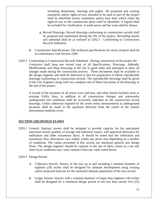including dimensions, bearings and angles. All proposed and existing easements and/or rights-of-way intended to be used as part of the project shall be identified survey centerlines and/or base lines which relate the right-of-way to the construction plans shall be identified. A legend shall be included for clarification. A north arrow and bar scale shall be shown.

- g. Record Drawings: Record drawings conforming to construction records shall be prepared and maintained during the life of the project. Recording details and submittal shall be as outlined in 5202.5 - Conforming to Construction Records Submittal.
- B. Construction Specifications: The technical specifications for sewer projects shall be in conformance with Section 2200.
- 5202.5 Conforming to Construction Records Submittal: During construction of the project the Contractor shall keep one record copy of all Specifications. Drawings, Addenda, Modifications and Shop Drawings at the site in good order and annotated to show all changes made during the construction process. These documents shall be available to the design engineer and shall be delivered to him for preparation of Mylar reproducible drawings conforming to construction records. The reproducible drawings shall be given to the City Engineer along with two complete sets of black line prints of the drawings at the end of the project.

A record of the locations of all sewer wyes and tees, and other buried facilities such as existing Utility lines, in addition to all construction changes and noteworthy underground soil conditions shall be accurately indicated on the construction record drawings. Unless otherwise required by the sewer entity measurements to underground locations shall be made in the upstream direction from the center of the nearest downstream manhole cover.

#### **SECTION 5203 DESIGN FLOWS**

- 5203.1 General: Sanitary sewers shall be designed to provide capacity for the anticipated maximum hourly quantity of sewage and industrial wastes, with approved allowance for infiltration and other extraneous flows. It should be noted that the infiltration and extraneous flow allowances vary widely within any given area depending on a number of conditions. The values presented in this section are minimum general unit design flows. The design engineer should be cautious in the use of these values as a set rule since local conditions may cause variance from any value noted herein.
- 5203.2 Design Period:
	- A. Collectors Sewers: Sewers of the size up to and including a nominal diameter of eighteen (18) inches shall be designed for ultimate development using existing and/or projected land use for the estimated ultimate population of the area served.
	- B. Larger Sewers: Sewers with a nominal diameter of larger than eighteen (18) inches shall be designed for a minimum design period of not less than twenty five (25)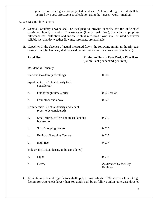years using existing and/or projected land use. A longer design period shall be justified by a cost-effectiveness calculation using the "present worth" method.

5203.3 Design Flow Factors:

- A. General: Sanitary sewers shall be designed to provide capacity for the anticipated maximum hourly quantity of wastewater (hourly peak flow), including appropriate allowance for infiltration and inflow. Actual measured flows shall be used whenever reliable wet and dry weather flow measurements are available.
- B. Capacity: In the absence of actual measured flows, the following minimum hourly peak design flows, by land use, shall be used (an infiltration/inflow allowance is included):

| <b>Land Use</b> |                                                                   | <b>Minimum Hourly Peak Design Flow Rate</b><br>(Cubic Feet per second per Acre) |
|-----------------|-------------------------------------------------------------------|---------------------------------------------------------------------------------|
|                 | Residential Housing:                                              |                                                                                 |
|                 | One-and two-family dwellings                                      | 0.005                                                                           |
|                 | Apartments: (Actual density to be<br>considered)                  |                                                                                 |
| a.              | One through three stories                                         | $0.020$ cfs/ac                                                                  |
| $\mathbf b$ .   | Four-story and above                                              | 0.022                                                                           |
|                 | Commercial: (Actual density and tenant<br>types to be considered) |                                                                                 |
| a.              | Small stores, offices and miscellaneous<br>businesses             | 0.010                                                                           |
| b.              | <b>Strip Shopping centers</b>                                     | 0.015                                                                           |
| c.              | <b>Regional Shopping Centers</b>                                  | 0.015                                                                           |
| d.              | High rise                                                         | 0.017                                                                           |
|                 | Industrial: (Actual density to be considered)                     |                                                                                 |
| a.              | Light                                                             | 0.015                                                                           |
| b.              | Heavy                                                             | As directed by the City<br>Engineer                                             |

C. Limitations: These design factors shall apply to watersheds of 300 acres or less. Design factors for watersheds larger than 300 acres shall be as follows unless otherwise directed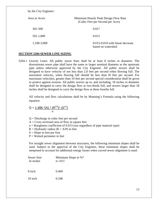by the City Engineer:

| Area in Acres | Minimum Hourly Peak Design Flow Rate<br>(Cubic Feet per Second per Acre) |
|---------------|--------------------------------------------------------------------------|
| 301-500       | 0.017                                                                    |
| 501-1,000     | 0.015                                                                    |
| 1,100-3,000   | 0.015-0.010 with linear decrease<br>based on watershed                   |

#### **SECTION 5204 SEWER LINE SIZING**

5204.1 Gravity Lines: All public sewer lines shall be at least 8 inches in diameter. The downstream sewer pipe shall have the same or larger nominal diameter as the upstream pipe unless otherwise approved by the City Engineer. All public sewers shall be designed to have velocity of not less than 2.0 feet per second when flowing full. The maximum velocity, when flowing full should be less than l0 feet per second. For maximum velocities, greater than 10 feet per second special consideration shall be given to protect against erosion. All public sewers up to, and including, 18 inches in diameter shall be designed to carry the design flow at two-thirds full, and sewers larger than 18 inches shall be designed to carry the design flow at three-fourths full.

All velocity and flow calculations shall be by Manning's Formula using the following equation

$$
Q = \frac{1.486 \cdot (A) \cdot (R^{2/3}) \cdot (S^{1/2})}{n}
$$

 $Q =$  Discharge in cubic feet per second  $A = Cross$  sectional area of flow in square feet  $n = R$ oughness coefficient of 0.013 (use regardless of pipe material type)  $R = Hyd$ raulic radius ( $R = A/P$ ) in feet  $S =$ Slope in feet per foot  $P = W$ etted perimeter in feet

 For straight sewer alignment between structures, the following minimum slopes shall be used. Subject to the approval of the City Engineer, these minimum slopes shall be steepened to account for additional energy losses when curved sewer alignment is used.

| Sewer Size<br>In inches | Minimum Slope in $%^*$<br>$n = 013$ |
|-------------------------|-------------------------------------|
| 8 inch                  | 0.400                               |
| 10 inch                 | 0.248                               |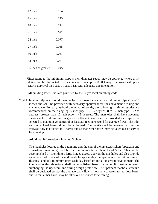| 12 inch            | 0.194 |
|--------------------|-------|
| $15$ inch          | 0.145 |
| 18 inch            | 0.114 |
| 21 inch            | 0.092 |
| 24 inch            | 0.077 |
| 27 inch            | 0.065 |
| 30 inch            | 0.057 |
| 33 inch            | 0.051 |
| 36 inch or greater | 0.045 |

\*Exceptions to the minimum slope 8 inch diameter sewer may be approved where a lift station can be eliminated. In these instances a slope of 0.30% may be allowed with prior KDHE approval on a case by case basis with adequate documentation.

All building sewer lines are governed by the City's local plumbing code.

5204.2 Inverted Siphons should have no less than two barrels with a minimum pipe size of 6 inches and shall be provided with necessary appurtenances for convenient flushing and maintenance. For easy hydraulic removal of solids, the following maximum grades are recommended on the rising leg: 6-inch pipe – 11  $\frac{1}{2}$  degrees, 8 to 12-inch pipe – 22  $\frac{1}{2}$ degrees, greater than 12-inch pipe – 45 degrees. The manholes shall have adequate clearance for rodding and in general sufficient head shall be provided and pipe sizes selected to maintain velocities of at least 3.0 feet per second for average flows. The inlet and outlet head losses should be addressed. The details shall be arranged so that the average flow is diverted to 1 barrel and so that either barrel may be taken out of service for cleaning.

Additional Information – Inverted Siphon:

The manholes located at the beginning and the end of the inverted siphon (upstream and downstream manholes) shall have a minimum internal diameter of 5 feet. This can be accomplished by providing a large hinged access door on the manholes and also provide an access road to one of the end manholes (preferably the upstream to permit convenient flushing) and at a minimum once each day based on initial upstream development. The inlet and outlet elevations shall be established based on hydraulic design to avoid surcharging the upstream line during design peak flow. The upstream manhole structure shall be designed so that the average daily flow is normally diverted to the flow barrel and so that either barrel may be taken out of service for cleaning.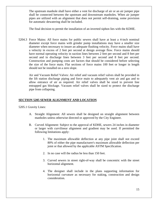The upstream manhole shall have either a vent for discharge of air or an air jumper pipe shall be connected between the upstream and downstream manholes. When air jumper pipes are utilized with an alignment that does not permit self-draining, some provision for automatic dewatering shall be included.

The final decision to permit the installation of an inverted siphon lies with the KDHE.

5204.3 Force Mains: All force mains for public sewers shall have at least a 4-inch nominal diameter except force mains with grinder pump installations may have a smaller size diameter when necessary to insure an adequate flushing velocity. Force mains shall have a velocity in excess of 2 feet per second at design average flow. Force mains should have normal operating velocity in suction lines between 2 feet per second and 8 feet per second and in discharge lines between 3 feet per second and 8 feet per second. Construction and pumping costs are factors that should be considered before selecting the size of the force main. Flat sections of force mains 100 feet or longer in length should not be installed on a zero slope.

 Air and Vacuum Relief Valves: Air relief and vacuum relief valves shall be provided in the lift station discharge piping and force main to adequately vent air and gas and to allow entrance of air as required. Air relief valves shall be sized to prevent line entrapped gas blockage. Vacuum relief valves shall be sized to protect the discharge pipe from collapsing.

# **SECTION 5205 SEWER ALIGNMENT AND LOCATION**

5205.1 Gravity Lines:

- A. Straight Alignment: All sewers shall be designed on straight alignment between manholes unless otherwise directed or approved by the City Engineer.
- B. Curved Alignment: Subject to the approval of KDHE, sewers 24 inches in diameter or larger with curvilinear alignment and gradient may be used. If permitted the following limitations apply:
	- 1. The maximum allowable deflection at any pipe joint shall not exceed 80% of either the pipe manufacturer's maximum allowable deflection per joint or that allowed by the applicable ASTM Specification.
	- 2. In no case will the radius be less than 150 feet.
	- 3. Curved sewers in street right-of-way shall be concentric with the street horizontal alignment.
	- 4. The designer shall include in the plans supporting information for horizontal curvature as necessary for staking, construction and design consideration.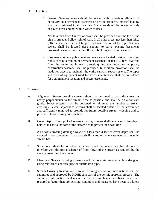- C. Location:
	- 1. General: Sanitary sewers should be located within streets or alleys or, if necessary, in a permanent easement on private property. Imposed loading shall be considered in all locations. Manholes should be located outside of paved areas and not within water courses.

Not less than three (3) feet of cover shall be provided over the top of the pipe in street and alley right of-way. In all other areas, not less than thirty (30) inches of cover shall be provided over the top of the pipe. Sanitary sewers shall be located deep enough to serve existing basements proposed basements or the first floor of buildings with no basements.

- 2. Easements: Where public sanitary sewers are located outside of existing rights-of-way a minimum permanent easement of ten (10) feet (five feet from the centerline in each direction) and the necessary temporary construction easement shall be provided. In addition, provisions shall be made for access to maintain the entire sanitary sewer system. The types and sizes of equipment used for sewer maintenance shall be considered for both manhole location and access easements.
- 3. Streams:
	- A. Alignment: Sewers crossing streams should be designed to cross the stream as nearly perpendicular to the stream flow as possible and shall be on a constant grade. Sewer systems shall be designed to minimize the number of stream crossings. Sewers adjacent to streams shall be located outside of the stream bed and sufficiently removed to provide for future possible stream widening and to prevent siltation during construction.
	- B. Cover Depth: The top of all sewers crossing streams shall be at a sufficient depth below the natural bottom of the stream bed to protect the sewer line.

All sewers crossing drainage ways with less than 3 feet of cover depth shall be encased in concrete plans. In no case shall the top of the encasement be above the stream bed.

- C. Structures: Manholes or other structures shall be located as they do not to interfere with the free discharge of flood flows of the stream as required by the agency governing the stream.
- D. Materials: Sewers crossing streams shall be concrete encased unless designed using reinforced concrete pipe or ductile iron pipe.
- E. Stream Crossing Restoration: Stream crossing restoration informations shall be submitted and approved by KDHE as a part of the permit approval process. The submitted information shall insure that the stream channel and banks have been restored to better than pre-existing conditions and measures have been to address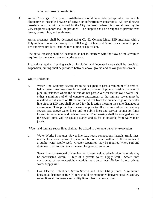scour and erosion possibilities.

.

4. Aerial Crossings: This type of installations should be avoided except when no feasible alternative is possible because of terrain or infrastructure constraints. All aerial sewer crossings must be prior approved by the City Engineer. When joints are allowed by the City Engineer support shall be provided. The support shall be designed to prevent frost heave, overturning, and settlement.

Aerial crossings shall be designed using CL 52 Cement Lined DIP insulated with a Polyurethane Foam and wrapped in 20 Gauge Galvanized Spiral Lock pressure pipe. Pre-approved product: Insulted tech piping or equivalent.

The aerial crossing shall be located so as not to interfere with the flow of the stream as required by the agency governing the stream.

Precautions against freezing such as insulation and increased slope shall be provided. Expansion jointing shall be provided between above-ground and below ground sewers.

# 5. Utility Protection:

a. Water Line: Sanitary Sewers are to be designed to pass a minimum of 2 vertical below water lines measures from outside diameter of pipe to outside diameter of pipe. In instances where the sewers do not pass 2 vertical feet below a water line, either a minimum of 6" of concrete encasement of the sanitary sewer must be installed to a distance of 10 feet in each direct from the outside edge of the water line pipe, or DIP pipe shall be used for the location meeting the same distances as encasement. This protective measure applies to all crossings where the sanitary sewers pass above water lines, and to public lines and service connection lines located in easements and rights-of-ways. The crossing shall be arranged so that the sewer joints will be equal distance and as far as possible from water main joints.

Water and sanitary sewer lines shall not be placed in the same trench or excavation.

b. Water Works Structures: Sewer line, i.e., house connections, laterals, trunk lines, interceptors, force mains, etc., shall not be constructed within a 100 foot radius of a public water supply well. Greater separation may be required where soil and drainage conditions indicate the need for greater protection.

Sewer lines constructed of cast iron or solvent welded plastic pipe materials may be constructed within 10 feet of a private water supply well. Sewer lines constructed of non-watertight materials must be at least 50 feet from a private water supply well.

c. Gas, Electric, Telephone, Storm Sewers and Other Utility Lines: A minimum horizontal distance of five (5) feet should be maintained between parallel sanitary sewer lines storm sewers and utility lines other than water lines.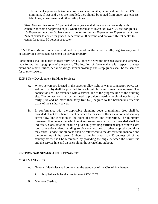The vertical separation between storm sewers and sanitary sewers should be two (2) feet minimum. If tees and wyes are installed, they should be routed from under gas, electric, telephone, storm sewer and other utility lines.

6. Steep Grades: Sewers on 15 percent slope or greater shall be anchored securely with concrete anchors or approved equal, where spaced as follows: Not over 100 feet for grades 15-20 percent; not over 36 feet center to center for grades 20 percent to 35 percent; not over 24 feet center to center for grades 35 percent to 50 percent: and not over 16 feet center to center for grades 50 percent or greater.

5205.2 Force Mains: Force mains should be placed in the street or alley right-or-way or if necessary in a permanent easement on private property.

Force mains shall be placed at least forty-two (42) inches below the finished grade and generally may follow the topography of the terrain. The location of force mains with respect to water mains and other Utilities, aerial crossings, stream crossings and steep grades shall be the same as for gravity sewers.

5205.3 New Development Building Services:

- A. Where sewers are located in the street or alley right-of-way a connection (wye, tee, saddle or stub) shall be provided for each building site in new development. The connection shall be extended with a service line to the property line of the building site. The connection shall be designed to provide a vertical angle of not less than thirty (30) and no more than forty-five (45) degrees to the horizontal centerline plane of the sanitary sewer.
- B. In conformance with the applicable plumbing code, a minimum drop shall be provided of not less than 3.0 feet between the basement floor elevation and sanitary sewer flow line elevation at the point of service line connection. The minimum basement floor elevation which sanitary sewer service can be provided shall be indicated. Consideration shall be given in providing sufficient depth where extra long connections, deep building service connections, or other atypical conditions may exist. Service line stubouts shall be referenced to the downstream manhole and the centerline of the sewer. Stubouts at angles other than 90 degrees off of the sanitary sewer shall be referenced by providing the angle between the sewer line and the service line and distance along the service line stubout.

#### **SECTION 5206 SEWER APPURTENANCES**

#### 5206.1 MANHOLES:

- A. General: Manholes shall conform to the standards of the City of Manhattan.
	- 1. Supplied manholes shall conform to ASTM C478.
- B. Manhole Casting: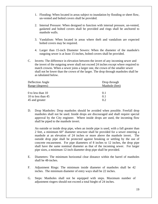- 1. Flooding: When located in areas subject to inundation by flooding or sheet flow, un-vented and bolted covers shall be provided.
- 2. Internal Pressure: When designed to function with internal pressure, un-vented, gasketed and bolted covers shall be provided and rings shall be anchored to manhole walls.
- 3. Vandalism: When located in areas where theft and vandalism are expected bolted covers may be required.
- 4. Larger than 15-inch Diameter Sewers: When the diameter of the manhole's outgoing sewer is at least 15-inches, bolted covers shall be provided.
- C. Inverts: The difference in elevation between the invert of any incoming sewer and the invert of the outgoing sewer shall not exceed 24 inches except where required to match crowns. When a sewer joins a larger one, the crown of the smaller sewer shall not be lower than the crown of the larger. The drop through manholes shall be as tabulated below.

| Deflection Angle   | Drop through   |  |
|--------------------|----------------|--|
| Range (degrees)    | Manhole (feet) |  |
|                    |                |  |
| 0 to less than 10  | 0.1            |  |
| 10 to less than 45 | 0.1            |  |
| 45 and greater     | 02             |  |

D. Drop Manholes: Drop manholes should be avoided when possible. Freefall drop manholes shall not be used. Inside drops are discouraged and shall require special approval by the City engineer. Where inside drops are used, the incoming flow shall be piped to the manhole invert.

An outside or inside drop pipe, when an inside pipe is used, with a fall greater than 2 feet, a minimum 60" diameter structure shall be provided for a sewer entering a manhole at an elevation of 24 inches or more above the manhole invert. The outside drop pipe shall be protected against breaking or settling by the use of concrete encasement. For pipe diameters of 8 inches to 12 inches, the drop pipe shall have the same nominal diameter as that of the incoming sewer. For larger pipe sizes, a minimum 12-inch diameter drop pipe shall be provided.

- E. Diameters: The minimum horizontal clear distance within the barrel of manholes shall be 48-inches.
- F. Adjustment Rings: The minimum inside diameter of manholes shall be 42 inches. The minimum diameter of entry ways shall be 22 inches.
- G. Steps: Manholes shall not be equipped with steps. Maximum number of adjustment ringers should not exceed a total hieght of 24 inches.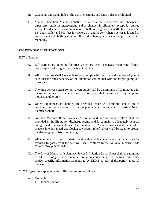- H. Cleanouts and Lamp holes: The use of cleanouts and lamp holes is prohibited.
- I. Manhole Location: Manholes shall be installed at the end of each line, changes in pipes size, grade at intersections and at changes in alignment except for curved sewer. The distances between manholes shall not be greater than 400 feet for sewers 18" and smaller and 500 feet for sewers 21" and larger. When a sewer is located in an easement not abutting street or alley right-of-way, access shall be provided to all manholes

# **SECTION 5207 LIFT STATIONS**

#### 5207.1 General:

- A. Lift stations are pumping facilities which are used to convey wastewater from a point beyond which gravity flow is not practical.
- B. All lift stations shall have at least two pumps with the size and number of pumps such that the rated capacity of the lift station can be met with the largest pump out of service.
- C. The time between starts for any given pump shall be a minimum of 10 minutes with maximum number of starts per hour not to exceed that recommended by the pump motor manufacturer.
- D. Unless equipment or facilities are provided which will limit the size of solids reaching the pump suction lift station pumps shall be capable of passing 3-inch diameter sphere.
- E. Air and Vacuum Relief Valves: Air relief and vacuum relief valves shall be provided in the lift station discharge piping and force main to adequately vent air and gas and to allow entrance of air as required. Air relief valves shall be sized to prevent line entrapped gas blockage. Vacuum relief valves shall be sized to protect the discharge pipe from collapsing.
- F. All equipment in the lift station wet well and that equipment or which can be exposed to gases from the wet well shall conform to the National Electric Code Class I, Group D, Division l.
- G. The City of Manhattan's Sanitary Sewer Lift Station Detail Sheet shall be submitted to KDHE along with pertinent information concerning float settings and other project specific information as required by KDHE as part of the permit approval process.

5207.2 Types: Acceptable types of lift stations are as follows:

- A. Dry well:
	- 1. Flooded suction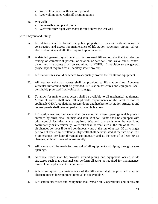- 2. Wet well mounted with vacuum primed
- 3. Wet well mounted with self-priming pumps
- B. Wet well:
	- a. Submersible pump and motor
	- b. Wet well centrifugal with motor located above the wet well

# 5207.3 Layout and Siting:

- A. Lift stations shall be located on public properties or on easements allowing for construction and access for maintenance of lift station structures, piping, valves, electrical service and all other required appurtenances.
- B. A detailed general layout detail of the proposed lift station site that includes the routing of commercial power,, orientation or wet well and valve vault, control panel, and site access shall be submitted to KDHE. In addition to the general project layout required for all sanitary sewer projects.
- C. Lift station sites should be fenced to adequately protect the lift station equipment.
- D. All weather vehicular access shall be provided to lift station sites. Adequate vehicular turnaround shall be provided. Lift station structures and equipment shall be suitably protected from vehicular damage.
- E. To allow for maintenance, access shall be available to all mechanical equipment. Means of access shall meet all applicable requirements of the latest edition of applicable OSHA regulations. Access doors and hatches to lift station structures and control panels shall be equipped with lockable features.
- F. Lift station wet and dry wells shall be vented with vent openings which prevent entrance by birds, small animals and rain. Wet well vents shall be equipped with odor control facilities where required. Wet and dry wells may be ventilated continuously or intermittently. Wet wells shall be ventilated at the rate of at least 12 air changes per hour if vented continuously and at the rate of at least 30 air changes per hour if vented intermittently. Dry wells shall be ventilated at the rate of at least 6 air changes per hour if vented continuously and at the rate of at least 30 air changes per hour if vented intermittently.
- G. Allowance shall be made for removal of all equipment and piping through access openings.
- H. Adequate space shall be provided around piping and equipment located inside structures such that personnel can perform all tasks as required for maintenance, removal and replacement of equipment.
- I. A hoisting system for maintenance of the lift station shall be provided when an alternate means for equipment removal is not available.
- J. Lift station structures and equipment shall remain fully operational and accessible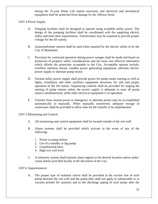during the 25-year flood. Lift station structures and electrical and mechanical equipment shall be protected from damage by the 100year flood.

5207.4 Power Supply:

- A. Pumping facilities shall be designed to operate using available utility power. The design of the pumping facilities shall be coordinated with the supplying electric utility and meet their requirements. Transformers may be required to provide proper voltage for the lift station.
- B. Autotransformer starters shall be used when required by the electric utility or by the City of Manhattan.
- C. Provision for continued operation during power outages shall be made and based on protection of property safety considerations and the most cost effective alternative which affords the protection acceptable to the City. Acceptable options include: overflow retention basins, standby power generating equipment, alternate electric power supply or alternate pump motor.
- D. Normal utility power supply shall provide power for pump motor starting as well as lights, ventilation and other auxiliary equipment necessary for safe and proper operation of the lift station. Sequencing controls shall be provided for staging the starting of pump motors unless the power supply is adequate to stare all pump motors simultaneously while other electrical equipment is in operation.
- E. Transfer from normal power to emergency or alternate power may be accomplished automatically or manually. When manually transferred, adequate storage of wastewater shall be provided to allow time for the transfer to be implemented.

5207.5 Monitoring and Control:

- A. All monitoring and control equipment shall be located outside of the wet well.
- B. Alarm systems shall be provided which activate in the event of any of the following:
	- 1. Power or pump failure
	- 2. Use of a standby or lag pump
	- 3. Unauthorized entry
	- 4. High wet well level
- C. A telemetry system shall transmit alarm signals to the desired location and/or audiovisual alarms provided locally at the discretion of the City.

#### 5207.6 Appurtenances:

A. The proper type of isolation valves shall be provided in the suction line of each pump between the wet well and the pump (this shall not apply to submersible or to vacuum primed lift stations) and in the discharge piping of each pump after the